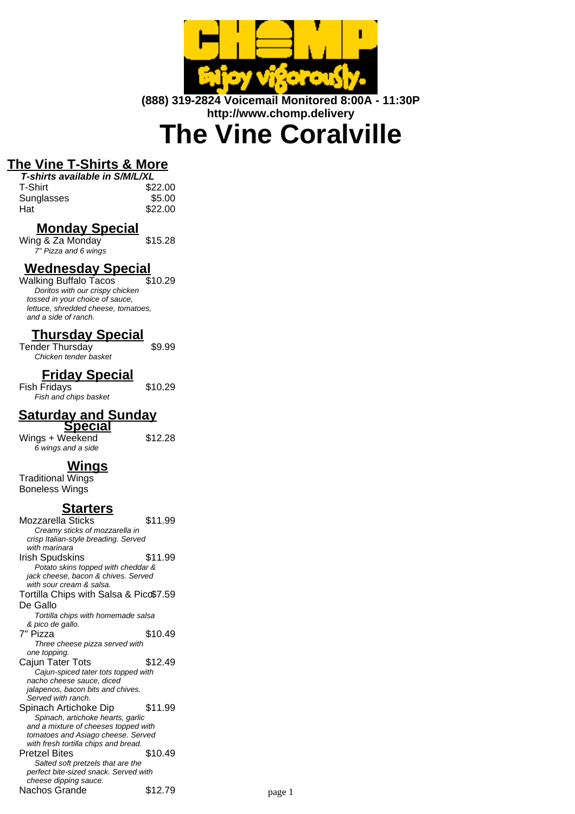

**(888) 319-2824 Voicemail Monitored 8:00A - 11:30P http://www.chomp.delivery**

# **The Vine Coralville**

# **The Vine T-Shirts & More**

| T-shirts available in S/M/L/XL |         |
|--------------------------------|---------|
| T-Shirt                        | \$22.00 |
| Sunglasses                     | \$5.00  |
| Hat                            | \$22.00 |

## **Monday Special**

 $Wing & Za$  Monday  $$15.28$ 7" Pizza and 6 wings

# **Wednesday Special**

Walking Buffalo Tacos Doritos with our crispy chicken tossed in your choice of sauce, lettuce, shredded cheese, tomatoes, and a side of ranch.

## **Thursday Special**

Tender Thursday **\$9.99** Chicken tender basket

## **Friday Special**

Fish Fridays **\$10.29** Fish and chips basket

6 wings and a side

# **Saturday and Sunday**

**Special**

 $Wings + Weekend$  \$12.28

# **Wings**

Traditional Wings Boneless Wings

## **Starters**

Mozzarella Sticks \$11.99 Creamy sticks of mozzarella in crisp Italian-style breading. Served with marinara Irish Spudskins \$11.99 Potato skins topped with cheddar & jack cheese, bacon & chives. Served with sour cream & salsa. Tortilla Chips with Salsa & Pico \$7.59 De Gallo Tortilla chips with homemade salsa & pico de gallo. 7" Pizza \$10.49 Three cheese pizza served with one topping. Caiun Tater Tots \$12.49 Cajun-spiced tater tots topped with nacho cheese sauce, diced jalapenos, bacon bits and chives. Served with ranch. Spinach Artichoke Dip \$11.99 Spinach, artichoke hearts, garlic and a mixture of cheeses topped with tomatoes and Asiago cheese. Served with fresh tortilla chips and bread. Pretzel Bites \$10.49 Salted soft pretzels that are the perfect bite-sized snack. Served with cheese dipping sauce. Nachos Grande \$12.79 page 1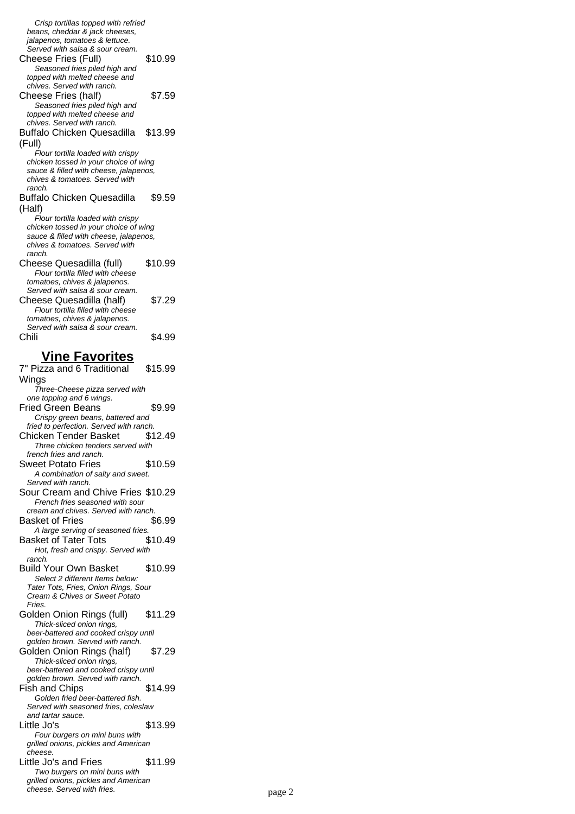Crisp tortillas topped with refried beans, cheddar & jack cheeses, jalapenos, tomatoes & lettuce. Served with salsa & sour cream. Cheese Fries (Full) \$10.99 Seasoned fries piled high and topped with melted cheese and chives. Served with ranch. Cheese Fries (half) \$7.59 Seasoned fries piled high and topped with melted cheese and chives. Served with ranch. Buffalo Chicken Quesadilla (Full) \$13.99 Flour tortilla loaded with crispy chicken tossed in your choice of wing sauce & filled with cheese, jalapenos, chives & tomatoes. Served with ranch. Buffalo Chicken Quesadilla (Half) \$9.59 Flour tortilla loaded with crispy chicken tossed in your choice of wing sauce & filled with cheese, jalapenos, chives & tomatoes. Served with ranch. Cheese Quesadilla (full) \$10.99 Flour tortilla filled with cheese tomatoes, chives & jalapenos. Served with salsa & sour cream. Cheese Quesadilla (half) \$7.29 Flour tortilla filled with cheese tomatoes, chives & jalapenos. Served with salsa & sour cream. Chili \$4.99 **Vine Favorites** 7" Pizza and 6 Traditional Wings \$15.99 Three-Cheese pizza served with one topping and 6 wings. Fried Green Beans \$9.99 Crispy green beans, battered and fried to perfection. Served with ranch. Chicken Tender Basket \$12.49 Three chicken tenders served with french fries and ranch. Sweet Potato Fries \$10.59 A combination of salty and sweet. Served with ranch. Sour Cream and Chive Fries \$10.29 French fries seasoned with sour cream and chives. Served with ranch. Basket of Fries \$6.99 A large serving of seasoned fries. Basket of Tater Tots \$10.49 Hot, fresh and crispy. Served with ranch. Build Your Own Basket \$10.99 Select 2 different Items below: Tater Tots, Fries, Onion Rings, Sour Cream & Chives or Sweet Potato Fries. Golden Onion Rings (full) \$11.29 Thick-sliced onion rings, beer-battered and cooked crispy until golden brown. Served with ranch. Golden Onion Rings (half) \$7.29 Thick-sliced onion rings, beer-battered and cooked crispy until golden brown. Served with ranch. Fish and Chips \$14.99 Golden fried beer-battered fish. Served with seasoned fries, coleslaw and tartar sauce. Little Jo's \$13.99 Four burgers on mini buns with grilled onions, pickles and American cheese. Little Jo's and Fries \$11.99 Two burgers on mini buns with grilled onions, pickles and American cheese. Served with fries. example 2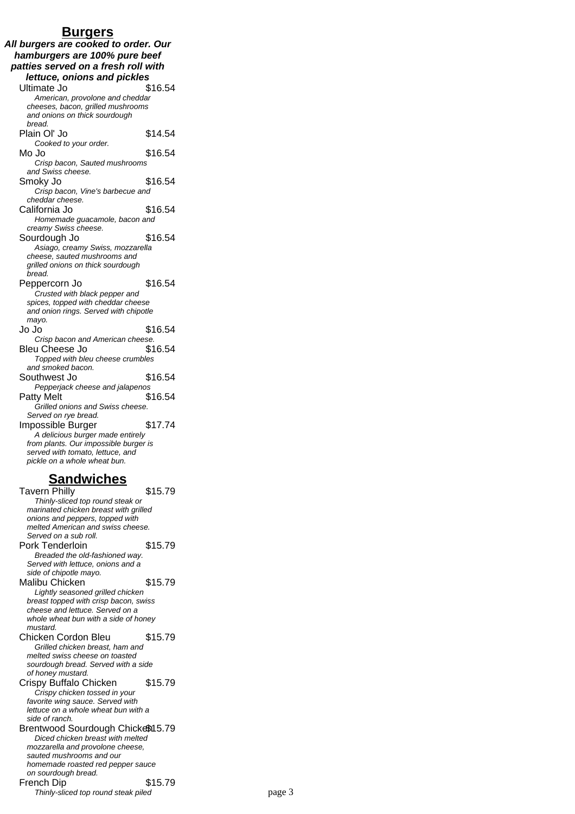#### **Burgers**

**All burgers are cooked to order. Our hamburgers are 100% pure beef patties served on a fresh roll with lettuce, onions and pickles** Ultimate Jo \$16.54 American, provolone and cheddar cheeses, bacon, grilled mushrooms and onions on thick sourdough bread. Plain Ol' Jo \$14.54 Cooked to your order. Mo Jo \$16.54 Crisp bacon, Sauted mushrooms and Swiss cheese. Smoky Jo \$16.54 Crisp bacon, Vine's barbecue and cheddar cheese. California Jo \$16.54 Homemade guacamole, bacon and creamy Swiss cheese. Sourdough Jo \$16.54 Asiago, creamy Swiss, mozzarella cheese, sauted mushrooms and grilled onions on thick sourdough bread. Peppercorn Jo \$16.54 Crusted with black pepper and spices, topped with cheddar cheese and onion rings. Served with chipotle mayo. Jo Jo **316.54** Crisp bacon and American cheese. Bleu Cheese Jo \$16.54 Topped with bleu cheese crumbles and smoked bacon. Southwest Jo \$16.54 Pepperjack cheese and jalapenos Patty Melt \$16.54 Grilled onions and Swiss cheese. Served on rye bread. Impossible Burger \$17.74 A delicious burger made entirely from plants. Our impossible burger is served with tomato, lettuce, and pickle on a whole wheat bun.

### **Sandwiches**

Tavern Philly **\$15.79** Thinly-sliced top round steak or marinated chicken breast with grilled onions and peppers, topped with melted American and swiss cheese. Served on a sub roll. Pork Tenderloin \$15.79 Breaded the old-fashioned way. Served with lettuce, onions and a side of chipotle mayo. Malibu Chicken \$15.79 Lightly seasoned grilled chicken breast topped with crisp bacon, swiss cheese and lettuce. Served on a whole wheat bun with a side of honey mustard. Chicken Cordon Bleu \$15.79 Grilled chicken breast, ham and melted swiss cheese on toasted sourdough bread. Served with a side of honey mustard. Crispy Buffalo Chicken \$15.79 Crispy chicken tossed in your favorite wing sauce. Served with lettuce on a whole wheat bun with a side of ranch. Brentwood Sourdough Chickem 5.79 Diced chicken breast with melted mozzarella and provolone cheese, sauted mushrooms and our homemade roasted red pepper sauce on sourdough bread. French Dip \$15.79 Thinly-sliced top round steak piled page 3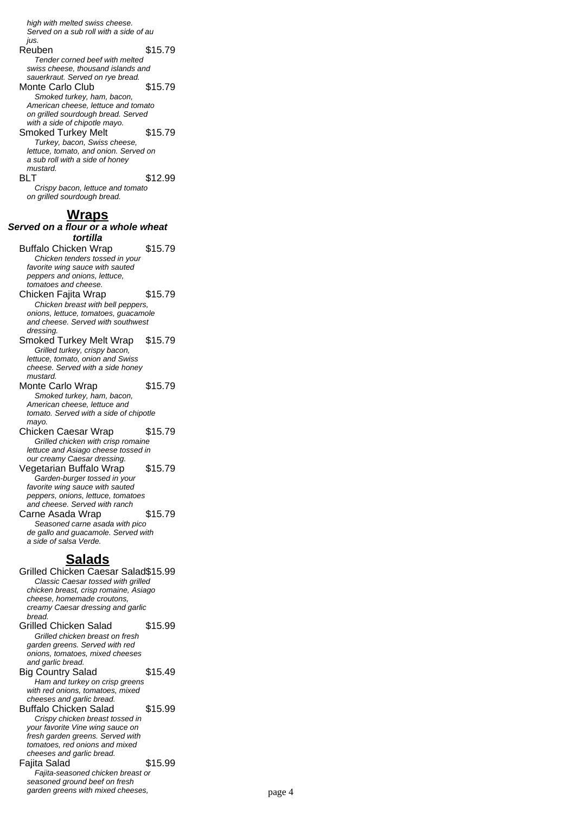high with melted swiss cheese. Served on a sub roll with a side of au jus. Reuben \$15.79 Tender corned beef with melted swiss cheese, thousand islands and sauerkraut. Served on rye bread. Monte Carlo Club \$15.79 Smoked turkey, ham, bacon, American cheese, lettuce and tomato on grilled sourdough bread. Served with a side of chipotle mayo. Smoked Turkey Melt \$15.79 Turkey, bacon, Swiss cheese, lettuce, tomato, and onion. Served on a sub roll with a side of honey mustard. BLT \$12.99 Crispy bacon, lettuce and tomato on grilled sourdough bread. **Wraps** Served on a flour or a whole wheat **tortilla** Buffalo Chicken Wrap \$15.79 Chicken tenders tossed in your favorite wing sauce with sauted peppers and onions, lettuce, tomatoes and cheese. Chicken Fajita Wrap \$15.79 Chicken breast with bell peppers, onions, lettuce, tomatoes, guacamole and cheese. Served with southwest dressing. Smoked Turkey Melt Wrap \$15.79 Grilled turkey, crispy bacon, lettuce, tomato, onion and Swiss cheese. Served with a side honey mustard. Monte Carlo Wrap \$15.79 Smoked turkey, ham, bacon, American cheese, lettuce and tomato. Served with a side of chipotle mayo. Chicken Caesar Wrap \$15.79

Grilled chicken with crisp romaine lettuce and Asiago cheese tossed in our creamy Caesar dressing. Vegetarian Buffalo Wrap \$15.79 Garden-burger tossed in your favorite wing sauce with sauted peppers, onions, lettuce, tomatoes

and cheese. Served with ranch Carne Asada Wrap \$15.79 Seasoned carne asada with pico de gallo and guacamole. Served with a side of salsa Verde.

#### **Salads**

Grilled Chicken Caesar Salad\$15.99 Classic Caesar tossed with grilled chicken breast, crisp romaine, Asiago cheese, homemade croutons, creamy Caesar dressing and garlic bread. Grilled Chicken Salad \$15.99 Grilled chicken breast on fresh garden greens. Served with red onions, tomatoes, mixed cheeses and garlic bread. Big Country Salad \$15.49 Ham and turkey on crisp greens with red onions, tomatoes, mixed cheeses and garlic bread. Buffalo Chicken Salad \$15.99 Crispy chicken breast tossed in your favorite Vine wing sauce on fresh garden greens. Served with tomatoes, red onions and mixed cheeses and garlic bread. Faiita Salad **\$15.99** Fajita-seasoned chicken breast or seasoned ground beef on fresh garden greens with mixed cheeses, page 4